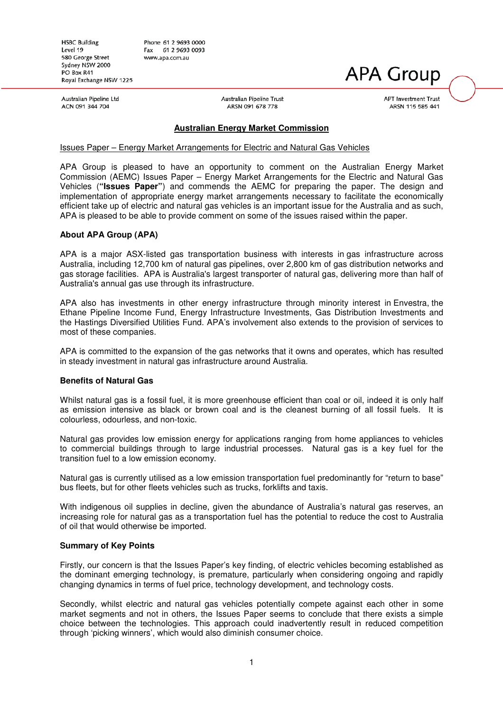**HSBC Building** Level 19 580 George Street Sydney NSW 2000 PO Box R41 Royal Exchange NSW 1225 Phone 61 2 9693 0000 Fax 61 2 9693 0093 www.apa.com.au

#### Australian Pipeline Ltd ACN 091 344 704

Australian Pipeline Trust ARSN 091 678 778

**APT Investment Trust** ARSN 115 585 441

**APA Group** 

# **Australian Energy Market Commission**

### Issues Paper – Energy Market Arrangements for Electric and Natural Gas Vehicles

APA Group is pleased to have an opportunity to comment on the Australian Energy Market Commission (AEMC) Issues Paper – Energy Market Arrangements for the Electric and Natural Gas Vehicles (**"Issues Paper"**) and commends the AEMC for preparing the paper. The design and implementation of appropriate energy market arrangements necessary to facilitate the economically efficient take up of electric and natural gas vehicles is an important issue for the Australia and as such, APA is pleased to be able to provide comment on some of the issues raised within the paper.

### **About APA Group (APA)**

APA is a major ASX-listed gas transportation business with interests in gas infrastructure across Australia, including 12,700 km of natural gas pipelines, over 2,800 km of gas distribution networks and gas storage facilities. APA is Australia's largest transporter of natural gas, delivering more than half of Australia's annual gas use through its infrastructure.

APA also has investments in other energy infrastructure through minority interest in Envestra, the Ethane Pipeline Income Fund, Energy Infrastructure Investments, Gas Distribution Investments and the Hastings Diversified Utilities Fund. APA's involvement also extends to the provision of services to most of these companies.

APA is committed to the expansion of the gas networks that it owns and operates, which has resulted in steady investment in natural gas infrastructure around Australia.

#### **Benefits of Natural Gas**

Whilst natural gas is a fossil fuel, it is more greenhouse efficient than coal or oil, indeed it is only half as emission intensive as black or brown coal and is the cleanest burning of all fossil fuels. It is colourless, odourless, and non-toxic.

Natural gas provides low emission energy for applications ranging from home appliances to vehicles to commercial buildings through to large industrial processes. Natural gas is a key fuel for the transition fuel to a low emission economy.

Natural gas is currently utilised as a low emission transportation fuel predominantly for "return to base" bus fleets, but for other fleets vehicles such as trucks, forklifts and taxis.

With indigenous oil supplies in decline, given the abundance of Australia's natural gas reserves, an increasing role for natural gas as a transportation fuel has the potential to reduce the cost to Australia of oil that would otherwise be imported.

#### **Summary of Key Points**

Firstly, our concern is that the Issues Paper's key finding, of electric vehicles becoming established as the dominant emerging technology, is premature, particularly when considering ongoing and rapidly changing dynamics in terms of fuel price, technology development, and technology costs.

Secondly, whilst electric and natural gas vehicles potentially compete against each other in some market segments and not in others, the Issues Paper seems to conclude that there exists a simple choice between the technologies. This approach could inadvertently result in reduced competition through 'picking winners', which would also diminish consumer choice.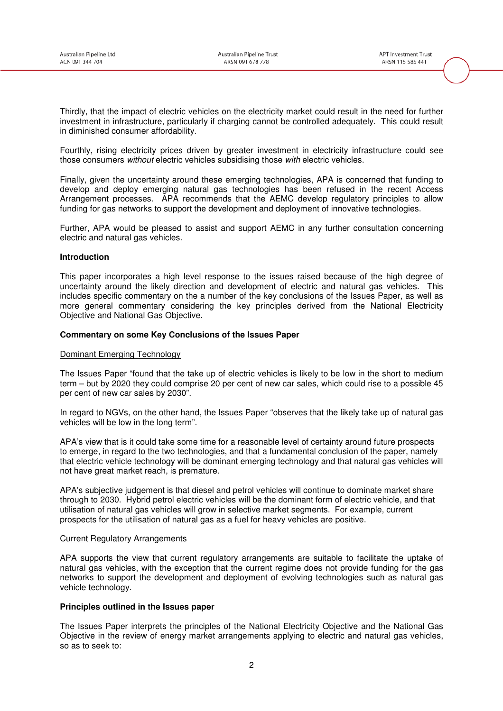Thirdly, that the impact of electric vehicles on the electricity market could result in the need for further investment in infrastructure, particularly if charging cannot be controlled adequately. This could result in diminished consumer affordability.

Fourthly, rising electricity prices driven by greater investment in electricity infrastructure could see those consumers without electric vehicles subsidising those with electric vehicles.

Finally, given the uncertainty around these emerging technologies, APA is concerned that funding to develop and deploy emerging natural gas technologies has been refused in the recent Access Arrangement processes. APA recommends that the AEMC develop regulatory principles to allow funding for gas networks to support the development and deployment of innovative technologies.

Further, APA would be pleased to assist and support AEMC in any further consultation concerning electric and natural gas vehicles.

### **Introduction**

This paper incorporates a high level response to the issues raised because of the high degree of uncertainty around the likely direction and development of electric and natural gas vehicles. This includes specific commentary on the a number of the key conclusions of the Issues Paper, as well as more general commentary considering the key principles derived from the National Electricity Objective and National Gas Objective.

#### **Commentary on some Key Conclusions of the Issues Paper**

### Dominant Emerging Technology

The Issues Paper "found that the take up of electric vehicles is likely to be low in the short to medium term – but by 2020 they could comprise 20 per cent of new car sales, which could rise to a possible 45 per cent of new car sales by 2030".

In regard to NGVs, on the other hand, the Issues Paper "observes that the likely take up of natural gas vehicles will be low in the long term".

APA's view that is it could take some time for a reasonable level of certainty around future prospects to emerge, in regard to the two technologies, and that a fundamental conclusion of the paper, namely that electric vehicle technology will be dominant emerging technology and that natural gas vehicles will not have great market reach, is premature.

APA's subjective judgement is that diesel and petrol vehicles will continue to dominate market share through to 2030. Hybrid petrol electric vehicles will be the dominant form of electric vehicle, and that utilisation of natural gas vehicles will grow in selective market segments. For example, current prospects for the utilisation of natural gas as a fuel for heavy vehicles are positive.

#### **Current Regulatory Arrangements**

APA supports the view that current regulatory arrangements are suitable to facilitate the uptake of natural gas vehicles, with the exception that the current regime does not provide funding for the gas networks to support the development and deployment of evolving technologies such as natural gas vehicle technology.

#### **Principles outlined in the Issues paper**

The Issues Paper interprets the principles of the National Electricity Objective and the National Gas Objective in the review of energy market arrangements applying to electric and natural gas vehicles, so as to seek to: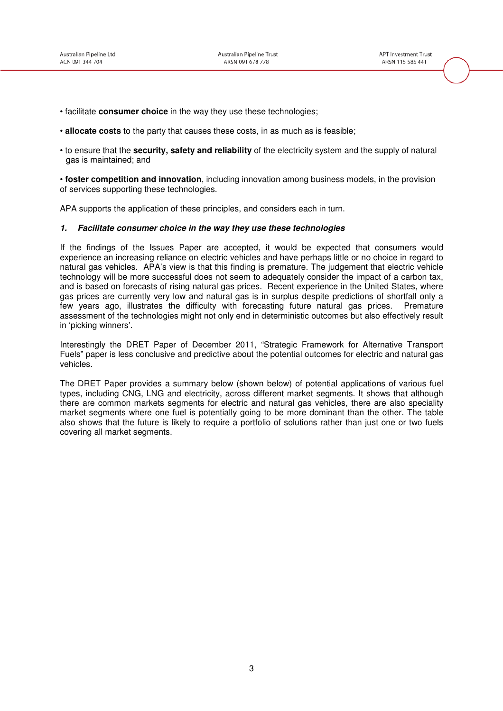- facilitate **consumer choice** in the way they use these technologies;
- **allocate costs** to the party that causes these costs, in as much as is feasible;
- to ensure that the **security, safety and reliability** of the electricity system and the supply of natural gas is maintained; and

• **foster competition and innovation**, including innovation among business models, in the provision of services supporting these technologies.

APA supports the application of these principles, and considers each in turn.

#### **1. Facilitate consumer choice in the way they use these technologies**

If the findings of the Issues Paper are accepted, it would be expected that consumers would experience an increasing reliance on electric vehicles and have perhaps little or no choice in regard to natural gas vehicles. APA's view is that this finding is premature. The judgement that electric vehicle technology will be more successful does not seem to adequately consider the impact of a carbon tax, and is based on forecasts of rising natural gas prices. Recent experience in the United States, where gas prices are currently very low and natural gas is in surplus despite predictions of shortfall only a few years ago, illustrates the difficulty with forecasting future natural gas prices. Premature assessment of the technologies might not only end in deterministic outcomes but also effectively result in 'picking winners'.

Interestingly the DRET Paper of December 2011, "Strategic Framework for Alternative Transport Fuels" paper is less conclusive and predictive about the potential outcomes for electric and natural gas vehicles.

The DRET Paper provides a summary below (shown below) of potential applications of various fuel types, including CNG, LNG and electricity, across different market segments. It shows that although there are common markets segments for electric and natural gas vehicles, there are also speciality market segments where one fuel is potentially going to be more dominant than the other. The table also shows that the future is likely to require a portfolio of solutions rather than just one or two fuels covering all market segments.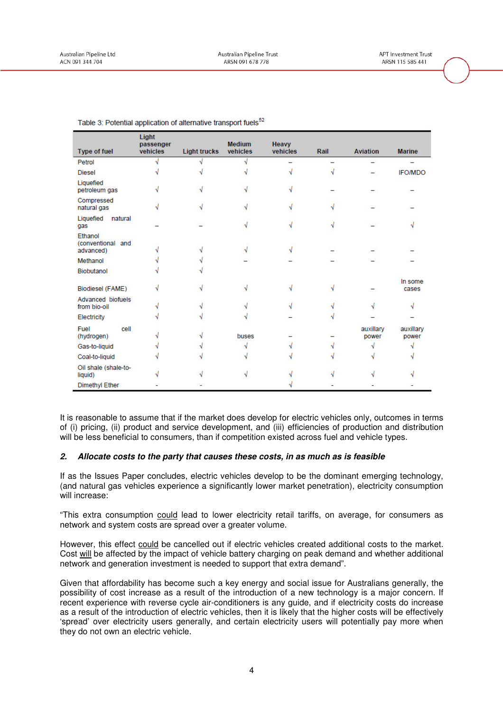| Type of fuel                              | Light<br>passenger<br>vehicles | <b>Light trucks</b> | <b>Medium</b><br>vehicles | <b>Heavy</b><br>vehicles | Rail | <b>Aviation</b>    | <b>Marine</b>      |
|-------------------------------------------|--------------------------------|---------------------|---------------------------|--------------------------|------|--------------------|--------------------|
| Petrol                                    |                                |                     |                           |                          |      |                    |                    |
| <b>Diesel</b>                             |                                |                     |                           |                          |      |                    | <b>IFO/MDO</b>     |
| Liquefied<br>petroleum gas                |                                |                     |                           |                          |      |                    |                    |
| Compressed<br>natural gas                 |                                |                     |                           |                          |      |                    |                    |
| Liquefied<br>natural<br>gas               |                                |                     |                           |                          |      |                    |                    |
| Ethanol<br>(conventional and<br>advanced) |                                |                     |                           |                          |      |                    |                    |
| Methanol                                  |                                |                     |                           |                          |      |                    |                    |
| <b>Biobutanol</b>                         |                                |                     |                           |                          |      |                    |                    |
| <b>Biodiesel (FAME)</b>                   |                                |                     |                           |                          |      |                    | In some<br>cases   |
| Advanced biofuels<br>from bio-oil         |                                |                     |                           |                          |      |                    |                    |
| Electricity                               |                                |                     |                           |                          |      |                    |                    |
| cell<br>Fuel<br>(hydrogen)                |                                |                     | buses                     |                          |      | auxillary<br>power | auxillary<br>power |
| Gas-to-liquid                             |                                |                     |                           |                          |      |                    |                    |
| Coal-to-liquid                            |                                |                     |                           |                          |      |                    |                    |
| Oil shale (shale-to-<br>liquid)           |                                |                     |                           |                          |      |                    |                    |
| Dimethyl Ether                            |                                |                     |                           |                          |      |                    |                    |

| Table 3: Potential application of alternative transport fuels <sup>52</sup> |  |  |
|-----------------------------------------------------------------------------|--|--|
|                                                                             |  |  |

It is reasonable to assume that if the market does develop for electric vehicles only, outcomes in terms of (i) pricing, (ii) product and service development, and (iii) efficiencies of production and distribution will be less beneficial to consumers, than if competition existed across fuel and vehicle types.

# **2. Allocate costs to the party that causes these costs, in as much as is feasible**

If as the Issues Paper concludes, electric vehicles develop to be the dominant emerging technology, (and natural gas vehicles experience a significantly lower market penetration), electricity consumption will increase:

"This extra consumption could lead to lower electricity retail tariffs, on average, for consumers as network and system costs are spread over a greater volume.

However, this effect could be cancelled out if electric vehicles created additional costs to the market. Cost will be affected by the impact of vehicle battery charging on peak demand and whether additional network and generation investment is needed to support that extra demand".

Given that affordability has become such a key energy and social issue for Australians generally, the possibility of cost increase as a result of the introduction of a new technology is a major concern. If recent experience with reverse cycle air-conditioners is any guide, and if electricity costs do increase as a result of the introduction of electric vehicles, then it is likely that the higher costs will be effectively 'spread' over electricity users generally, and certain electricity users will potentially pay more when they do not own an electric vehicle.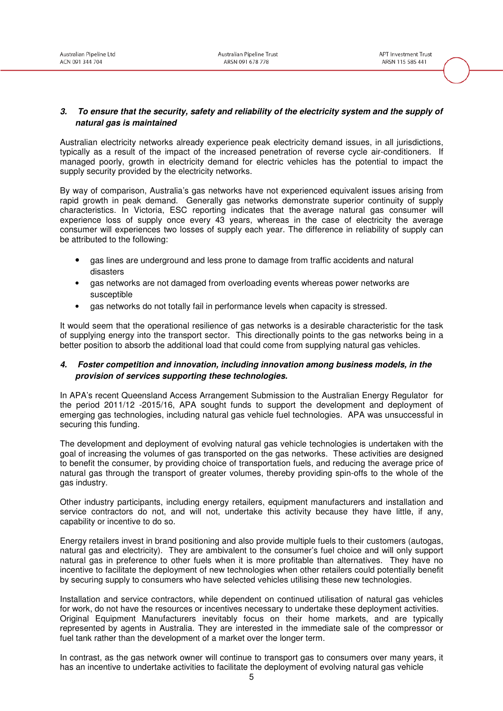## **3. To ensure that the security, safety and reliability of the electricity system and the supply of natural gas is maintained**

Australian electricity networks already experience peak electricity demand issues, in all jurisdictions, typically as a result of the impact of the increased penetration of reverse cycle air-conditioners. If managed poorly, growth in electricity demand for electric vehicles has the potential to impact the supply security provided by the electricity networks.

By way of comparison, Australia's gas networks have not experienced equivalent issues arising from rapid growth in peak demand. Generally gas networks demonstrate superior continuity of supply characteristics. In Victoria, ESC reporting indicates that the average natural gas consumer will experience loss of supply once every 43 years, whereas in the case of electricity the average consumer will experiences two losses of supply each year. The difference in reliability of supply can be attributed to the following:

- gas lines are underground and less prone to damage from traffic accidents and natural disasters
- gas networks are not damaged from overloading events whereas power networks are susceptible
- gas networks do not totally fail in performance levels when capacity is stressed.

It would seem that the operational resilience of gas networks is a desirable characteristic for the task of supplying energy into the transport sector. This directionally points to the gas networks being in a better position to absorb the additional load that could come from supplying natural gas vehicles.

# **4. Foster competition and innovation, including innovation among business models, in the provision of services supporting these technologies.**

In APA's recent Queensland Access Arrangement Submission to the Australian Energy Regulator for the period 2011/12 -2015/16, APA sought funds to support the development and deployment of emerging gas technologies, including natural gas vehicle fuel technologies. APA was unsuccessful in securing this funding.

The development and deployment of evolving natural gas vehicle technologies is undertaken with the goal of increasing the volumes of gas transported on the gas networks. These activities are designed to benefit the consumer, by providing choice of transportation fuels, and reducing the average price of natural gas through the transport of greater volumes, thereby providing spin-offs to the whole of the gas industry.

Other industry participants, including energy retailers, equipment manufacturers and installation and service contractors do not, and will not, undertake this activity because they have little, if any, capability or incentive to do so.

Energy retailers invest in brand positioning and also provide multiple fuels to their customers (autogas, natural gas and electricity). They are ambivalent to the consumer's fuel choice and will only support natural gas in preference to other fuels when it is more profitable than alternatives. They have no incentive to facilitate the deployment of new technologies when other retailers could potentially benefit by securing supply to consumers who have selected vehicles utilising these new technologies.

Installation and service contractors, while dependent on continued utilisation of natural gas vehicles for work, do not have the resources or incentives necessary to undertake these deployment activities. Original Equipment Manufacturers inevitably focus on their home markets, and are typically represented by agents in Australia. They are interested in the immediate sale of the compressor or fuel tank rather than the development of a market over the longer term.

In contrast, as the gas network owner will continue to transport gas to consumers over many years, it has an incentive to undertake activities to facilitate the deployment of evolving natural gas vehicle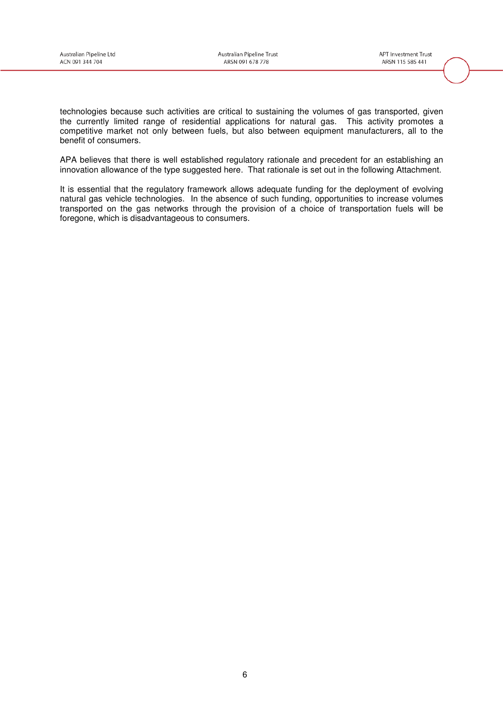technologies because such activities are critical to sustaining the volumes of gas transported, given the currently limited range of residential applications for natural gas. This activity promotes a competitive market not only between fuels, but also between equipment manufacturers, all to the benefit of consumers.

APA believes that there is well established regulatory rationale and precedent for an establishing an innovation allowance of the type suggested here. That rationale is set out in the following Attachment.

It is essential that the regulatory framework allows adequate funding for the deployment of evolving natural gas vehicle technologies. In the absence of such funding, opportunities to increase volumes transported on the gas networks through the provision of a choice of transportation fuels will be foregone, which is disadvantageous to consumers.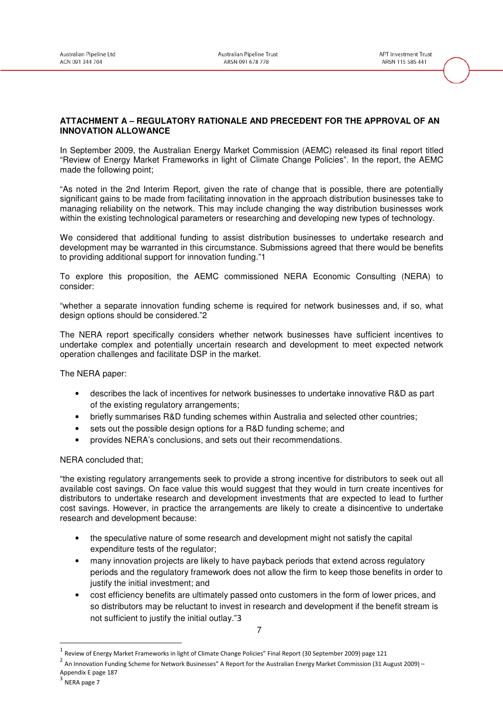# **ATTACHMENT A – REGULATORY RATIONALE AND PRECEDENT FOR THE APPROVAL OF AN INNOVATION ALLOWANCE**

In September 2009, the Australian Energy Market Commission (AEMC) released its final report titled "Review of Energy Market Frameworks in light of Climate Change Policies". In the report, the AEMC made the following point;

"As noted in the 2nd Interim Report, given the rate of change that is possible, there are potentially significant gains to be made from facilitating innovation in the approach distribution businesses take to managing reliability on the network. This may include changing the way distribution businesses work within the existing technological parameters or researching and developing new types of technology.

We considered that additional funding to assist distribution businesses to undertake research and development may be warranted in this circumstance. Submissions agreed that there would be benefits to providing additional support for innovation funding."1

To explore this proposition, the AEMC commissioned NERA Economic Consulting (NERA) to consider:

"whether a separate innovation funding scheme is required for network businesses and, if so, what design options should be considered."2

The NERA report specifically considers whether network businesses have sufficient incentives to undertake complex and potentially uncertain research and development to meet expected network operation challenges and facilitate DSP in the market.

The NERA paper:

- describes the lack of incentives for network businesses to undertake innovative R&D as part of the existing regulatory arrangements;
- briefly summarises R&D funding schemes within Australia and selected other countries;
- sets out the possible design options for a R&D funding scheme; and
- provides NERA's conclusions, and sets out their recommendations.

#### NERA concluded that;

"the existing regulatory arrangements seek to provide a strong incentive for distributors to seek out all available cost savings. On face value this would suggest that they would in turn create incentives for distributors to undertake research and development investments that are expected to lead to further cost savings. However, in practice the arrangements are likely to create a disincentive to undertake research and development because:

- the speculative nature of some research and development might not satisfy the capital expenditure tests of the regulator;
- many innovation projects are likely to have payback periods that extend across regulatory periods and the regulatory framework does not allow the firm to keep those benefits in order to justify the initial investment; and
- cost efficiency benefits are ultimately passed onto customers in the form of lower prices, and so distributors may be reluctant to invest in research and development if the benefit stream is not sufficient to justify the initial outlay."3

 $\overline{a}$ 

<sup>7</sup> 

<sup>1</sup> Review of Energy Market Frameworks in light of Climate Change Policies" Final Report (30 September 2009) page 121

<sup>&</sup>lt;sup>2</sup> An Innovation Funding Scheme for Network Businesses" A Report for the Australian Energy Market Commission (31 August 2009) – Appendix E page 187

<sup>3</sup> NERA page 7